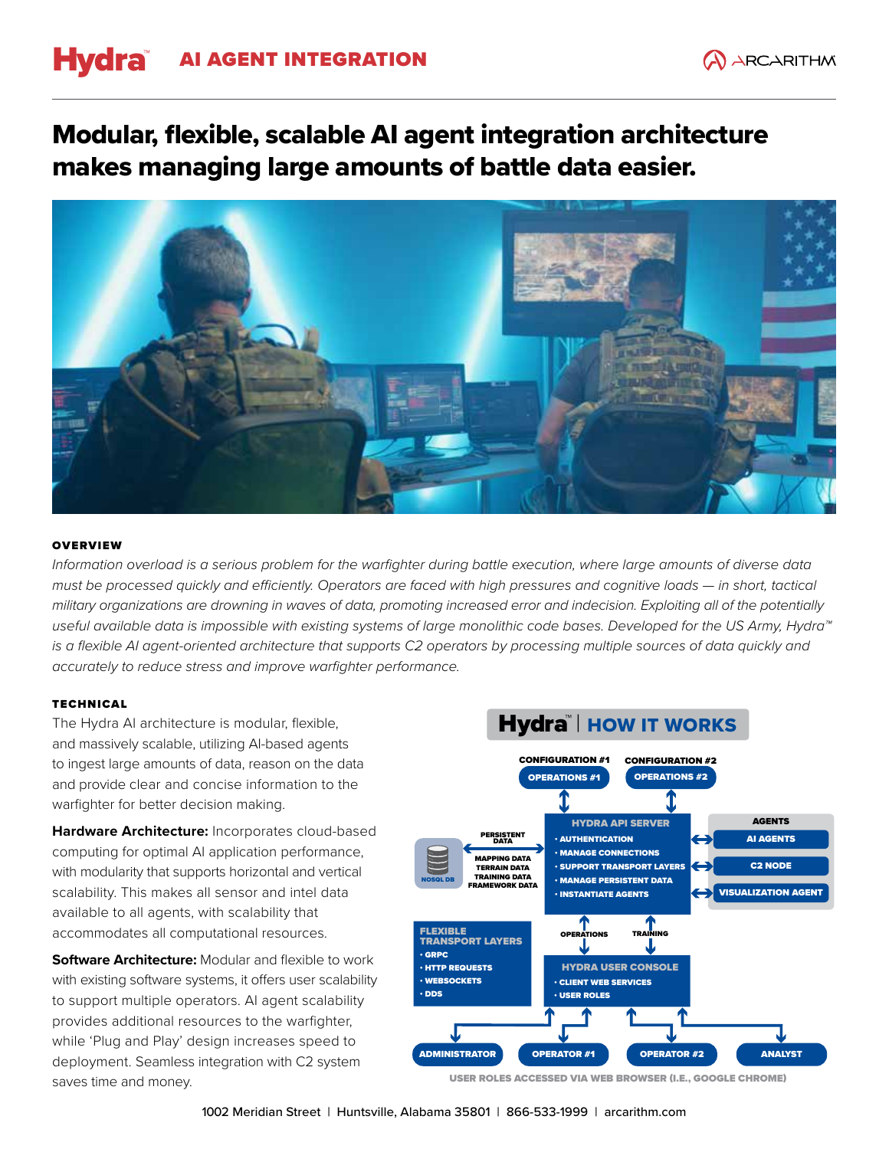# Hydra AI AGENT INTEGRATION

## Modular, flexible, scalable AI agent integration architecture makes managing large amounts of battle data easier.



#### **OVERVIEW**

*Information overload is a serious problem for the warfighter during battle execution, where large amounts of diverse data must be processed quickly and efficiently. Operators are faced with high pressures and cognitive loads — in short, tactical military organizations are drowning in waves of data, promoting increased error and indecision. Exploiting all of the potentially useful available data is impossible with existing systems of large monolithic code bases. Developed for the US Army, Hydra™*  is a flexible AI agent-oriented architecture that supports C2 operators by processing multiple sources of data quickly and *accurately to reduce stress and improve warfighter performance.*

### TECHNICAL

The Hydra AI architecture is modular, flexible, and massively scalable, utilizing AI-based agents to ingest large amounts of data, reason on the data and provide clear and concise information to the warfighter for better decision making.

**Hardware Architecture:** Incorporates cloud-based computing for optimal AI application performance, with modularity that supports horizontal and vertical scalability. This makes all sensor and intel data available to all agents, with scalability that accommodates all computational resources.

**Software Architecture: Modular and flexible to work** with existing software systems, it offers user scalability to support multiple operators. AI agent scalability provides additional resources to the warfighter, while 'Plug and Play' design increases speed to deployment. Seamless integration with C2 system saves time and money.



USER ROLES ACCESSED VIA WEB BROWSER (I.E., GOOGLE CHROME)